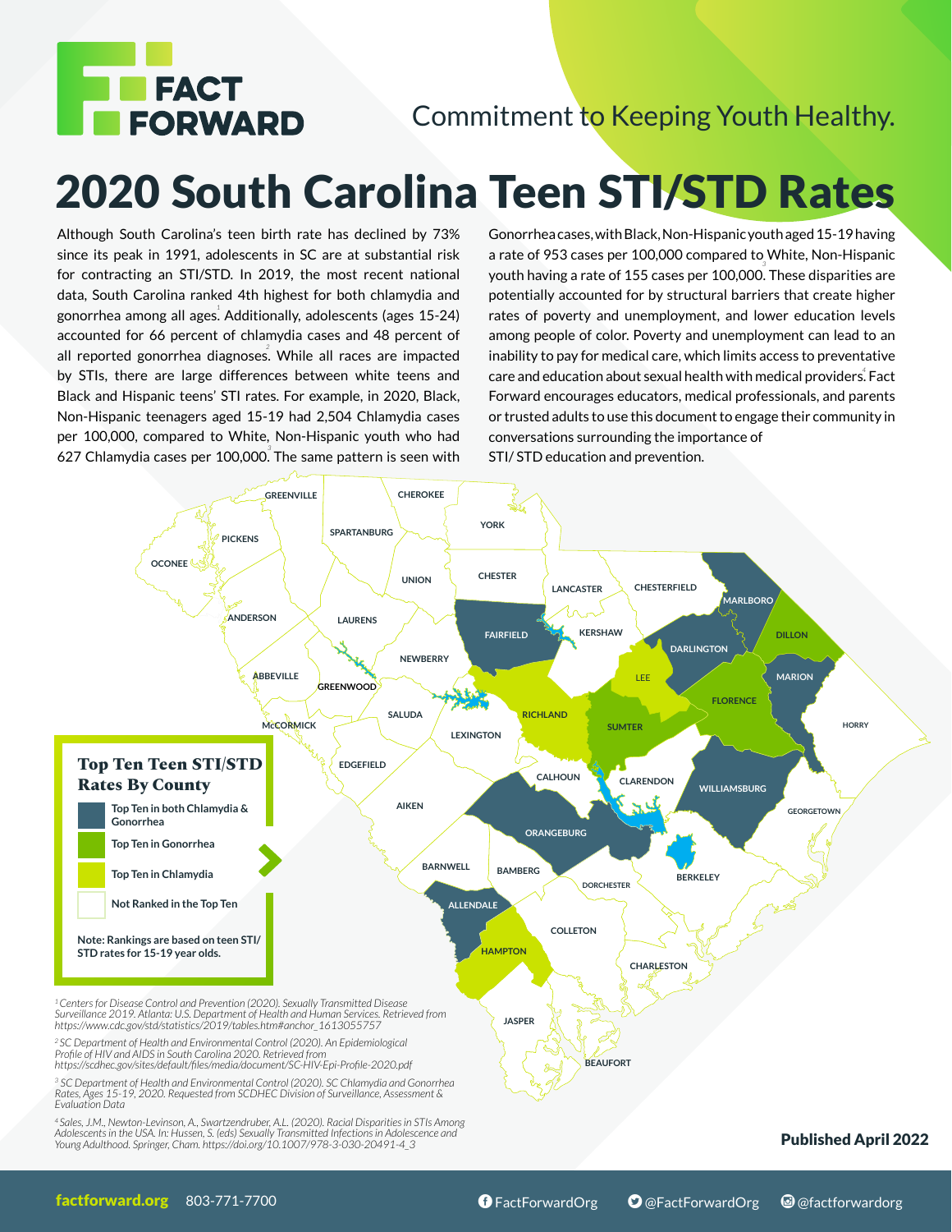

## Commitment to Keeping Youth Healthy.

## 2020 South Carolina Teen STI/STD Rates

Although South Carolina's teen birth rate has declined by 73% since its peak in 1991, adolescents in SC are at substantial risk for contracting an STI/STD. In 2019, the most recent national data, South Carolina ranked 4th highest for both chlamydia and gonorrhea among all ages<sup>!</sup> Additionally, adolescents (ages 15-24) accounted for 66 percent of chlamydia cases and 48 percent of all reported gonorrhea diagnoses. While all races are impacted *2* by STIs, there are large differences between white teens and Black and Hispanic teens' STI rates. For example, in 2020, Black, Non-Hispanic teenagers aged 15-19 had 2,504 Chlamydia cases per 100,000, compared to White, Non-Hispanic youth who had 627 Chlamydia cases per 100,000. The same pattern is seen with *3* Gonorrhea cases, with Black, Non-Hispanic youth aged 15-19 having a rate of 953 cases per 100,000 compared to White, Non-Hispanic youth having a rate of 155 cases per 100,000. These disparities are *3* potentially accounted for by structural barriers that create higher rates of poverty and unemployment, and lower education levels among people of color. Poverty and unemployment can lead to an inability to pay for medical care, which limits access to preventative care and education about sexual health with medical providers. Fact *4*  Forward encourages educators, medical professionals, and parents or trusted adults to use this document to engage their community in conversations surrounding the importance of STI/ STD education and prevention.



<sup>4</sup>Sales, J.M., Newton-Levinson, A., Swartzendruber, A.L. (2020). Racial Disparities in STIs Among<br>Adolescents in the USA. In: Hussen, S. (eds) Sexually Transmitted Infections in Adolescence and<br>Young Adulthood. Springer,